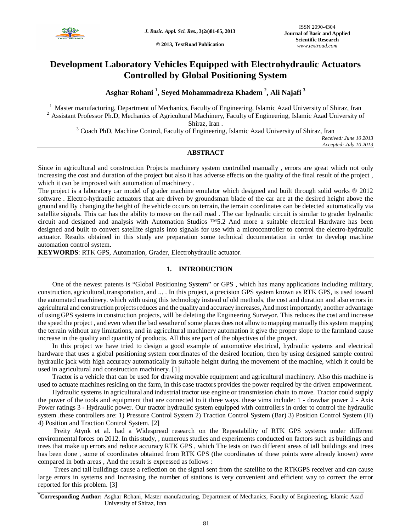

**© 2013, TextRoad Publication**

# **Development Laboratory Vehicles Equipped with Electrohydraulic Actuators Controlled by Global Positioning System**

**Asghar Rohani <sup>1</sup> , Seyed Mohammadreza Khadem <sup>2</sup> , Ali Najafi <sup>3</sup>**

<sup>1</sup> Master manufacturing, Department of Mechanics, Faculty of Engineering, Islamic Azad University of Shiraz, Iran <sup>2</sup> Assistant Professor Ph.D, Mechanics of Agricultural Machinery, Faculty of Engineering, Islamic Azad University of Shiraz, Iran .

<sup>3</sup> Coach PhD, Machine Control, Faculty of Engineering, Islamic Azad University of Shiraz, Iran

*Received: June 10 2013 Accepted: July 10 2013*

# **ABSTRACT**

Since in agricultural and construction Projects machinery system controlled manually , errors are great which not only increasing the cost and duration of the project but also it has adverse effects on the quality of the final result of the project , which it can be improved with automation of machinery .

The project is a laboratory car model of grader machine emulator which designed and built through solid works ® 2012 software . Electro-hydraulic actuators that are driven by groundsman blade of the car are at the desired height above the ground and By changing the height of the vehicle occurs on terrain, the terrain coordinates can be detected automatically via satellite signals. This car has the ability to move on the rail road . The car hydraulic circuit is similar to grader hydraulic circuit and designed and analysis with Automation Studios ™5.2 And more a suitable electrical Hardware has been designed and built to convert satellite signals into signals for use with a microcontroller to control the electro-hydraulic actuator. Results obtained in this study are preparation some technical documentation in order to develop machine automation control system.

**KEYWORDS**: RTK GPS, Automation, Grader, Electrohydraulic actuator.

# **1. INTRODUCTION**

One of the newest patents is "Global Positioning System" or GPS , which has many applications including military, construction, agricultural, transportation, and ... . In this project, a precision GPS system known as RTK GPS, is used toward the automated machinery. which with using this technology instead of old methods, the cost and duration and also errors in agricultural and construction projects reduces and the quality and accuracy increases, And most importantly, another advantage of using GPS systems in construction projects, will be deleting the Engineering Surveyor. This reduces the cost and increase the speed the project , and even when the bad weather of some places does not allow to mapping manually this system mapping the terrain without any limitations, and in agricultural machinery automation it give the proper slope to the farmland cause increase in the quality and quantity of products. All this are part of the objectives of the project.

In this project we have tried to design a good example of automotive electrical, hydraulic systems and electrical hardware that uses a global positioning system coordinates of the desired location, then by using designed sample control hydraulic jack with high accuracy automatically in suitable height during the movement of the machine, which it could be used in agricultural and construction machinery. [1]

Tractor is a vehicle that can be used for drawing movable equipment and agricultural machinery. Also this machine is used to actuate machines residing on the farm, in this case tractors provides the power required by the driven empowerment.

Hydraulic systems in agricultural and industrial tractor use engine or transmission chain to move. Tractor could supply the power of the tools and equipment that are connected to it three ways. these vims include: 1 - drawbar power 2 - Axis Power ratings 3 - Hydraulic power. Our tractor hydraulic system equipped with controllers in order to control the hydraulic system .these controllers are: 1) Pressure Control System 2) Traction Control System (Bar) 3) Position Control System (H) 4) Position and Traction Control System. [2]

Preity Atynk et al. had a Widespread research on the Repeatability of RTK GPS systems under different environmental forces on 2012. In this study, , numerous studies and experiments conducted on factors such as buildings and trees that make up errors and reduce accuracy RTK GPS , which The tests on two different areas of tall buildings and trees has been done , some of coordinates obtained from RTK GPS (the coordinates of these points were already known) were compared in both areas , And the result is expressed as follows :

Trees and tall buildings cause a reflection on the signal sent from the satellite to the RTKGPS receiver and can cause large errors in systems and Increasing the number of stations is very convenient and efficient way to correct the error reported for this problem. [3]

**\*Corresponding Author:** Asghar Rohani, Master manufacturing, Department of Mechanics, Faculty of Engineering, Islamic Azad University of Shiraz, Iran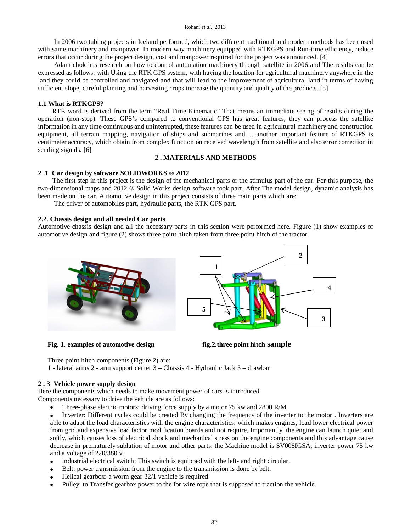#### Rohani *et al.,* 2013

In 2006 two tubing projects in Iceland performed, which two different traditional and modern methods has been used with same machinery and manpower. In modern way machinery equipped with RTKGPS and Run-time efficiency, reduce errors that occur during the project design, cost and manpower required for the project was announced. [4]

Adam chok has research on how to control automation machinery through satellite in 2006 and The results can be expressed as follows: with Using the RTK GPS system, with having the location for agricultural machinery anywhere in the land they could be controlled and navigated and that will lead to the improvement of agricultural land in terms of having sufficient slope, careful planting and harvesting crops increase the quantity and quality of the products. [5]

### **1.1 What is RTKGPS?**

RTK word is derived from the term "Real Time Kinematic" That means an immediate seeing of results during the operation (non-stop). These GPS's compared to conventional GPS has great features, they can process the satellite information in any time continuous and uninterrupted, these features can be used in agricultural machinery and construction equipment, all terrain mapping, navigation of ships and submarines and ... another important feature of RTKGPS is centimeter accuracy, which obtain from complex function on received wavelength from satellite and also error correction in sending signals. [6]

### **2 . MATERIALS AND METHODS**

# **2 .1 Car design by software SOLIDWORKS ® 2012**

The first step in this project is the design of the mechanical parts or the stimulus part of the car. For this purpose, the two-dimensional maps and 2012 ® Solid Works design software took part. After The model design, dynamic analysis has been made on the car. Automotive design in this project consists of three main parts which are:

The driver of automobiles part, hydraulic parts, the RTK GPS part.

#### **2.2. Chassis design and all needed Car parts**

Automotive chassis design and all the necessary parts in this section were performed here. Figure (1) show examples of automotive design and figure (2) shows three point hitch taken from three point hitch of the tractor.





**Fig. 1. examples of automotive design fig.2.three point hitch sample**



Three point hitch components (Figure 2) are:

1 - lateral arms 2 - arm support center 3 – Chassis 4 - Hydraulic Jack 5 – drawbar

#### **2 . 3 Vehicle power supply design**

Here the components which needs to make movement power of cars is introduced. Components necessary to drive the vehicle are as follows:

• Three-phase electric motors: driving force supply by a motor 75 kw and 2800 R/M.

 Inverter: Different cycles could be created By changing the frequency of the inverter to the motor . Inverters are able to adapt the load characteristics with the engine characteristics, which makes engines, load lower electrical power from grid and expensive load factor modification boards and not require, Importantly, the engine can launch quiet and softly, which causes loss of electrical shock and mechanical stress on the engine components and this advantage cause decrease in prematurely sublation of motor and other parts. the Machine model is SV008IGSA, inverter power 75 kw and a voltage of 220/380 v.

- industrial electrical switch: This switch is equipped with the left- and right circular.
- Belt: power transmission from the engine to the transmission is done by belt.
- Helical gearbox: a worm gear 32/1 vehicle is required.
- Pulley: to Transfer gearbox power to the for wire rope that is supposed to traction the vehicle.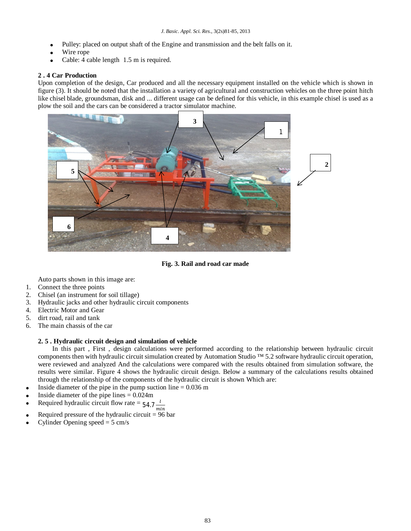- Pulley: placed on output shaft of the Engine and transmission and the belt falls on it.
- Wire rope
- Cable: 4 cable length 1.5 m is required.

# **2 . 4 Car Production**

Upon completion of the design, Car produced and all the necessary equipment installed on the vehicle which is shown in figure (3). It should be noted that the installation a variety of agricultural and construction vehicles on the three point hitch like chisel blade, groundsman, disk and ... different usage can be defined for this vehicle, in this example chisel is used as a plow the soil and the cars can be considered a tractor simulator machine.



**Fig. 3. Rail and road car made**

Auto parts shown in this image are:

- 1. Connect the three points
- 2. Chisel (an instrument for soil tillage)
- 3. Hydraulic jacks and other hydraulic circuit components
- 4. Electric Motor and Gear
- 5. dirt road, rail and tank
- 6. The main chassis of the car

# **2. 5 . Hydraulic circuit design and simulation of vehicle**

In this part , First , design calculations were performed according to the relationship between hydraulic circuit components then with hydraulic circuit simulation created by Automation Studio  $TM$  5.2 software hydraulic circuit operation, were reviewed and analyzed And the calculations were compared with the results obtained from simulation software, the results were similar. Figure 4 shows the hydraulic circuit design. Below a summary of the calculations results obtained through the relationship of the components of the hydraulic circuit is shown Which are:

- Inside diameter of the pipe in the pump suction line  $= 0.036$  m
- Inside diameter of the pipe lines = 0.024m
- Required hydraulic circuit flow rate =  $54.7 \frac{1}{100}$
- min Required pressure of the hydraulic circuit  $= 96$  bar
- Cylinder Opening speed  $= 5$  cm/s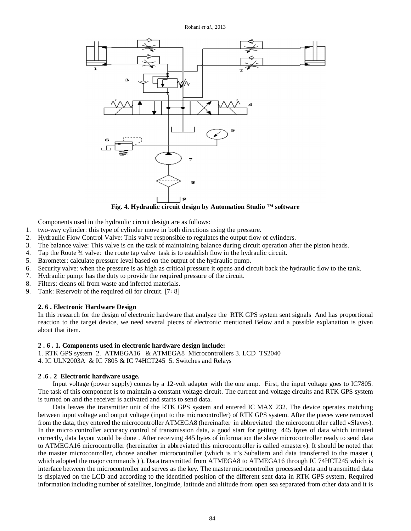

**Fig. 4. Hydraulic circuit design by Automation Studio ™ software**

Components used in the hydraulic circuit design are as follows:

- 1. two-way cylinder: this type of cylinder move in both directions using the pressure.
- 2. Hydraulic Flow Control Valve: This valve responsible to regulates the output flow of cylinders.
- 3. The balance valve: This valve is on the task of maintaining balance during circuit operation after the piston heads.
- 4. Tap the Route  $\frac{3}{4}$  valve: the route tap valve task is to establish flow in the hydraulic circuit.
- 5. Barometer: calculate pressure level based on the output of the hydraulic pump.
- 6. Security valve: when the pressure is as high as critical pressure it opens and circuit back the hydraulic flow to the tank.
- 7. Hydraulic pump: has the duty to provide the required pressure of the circuit.
- 8. Filters: cleans oil from waste and infected materials.
- 9. Tank: Reservoir of the required oil for circuit. [7، 8]

# **2. 6 . Electronic Hardware Design**

In this research for the design of electronic hardware that analyze the RTK GPS system sent signals And has proportional reaction to the target device, we need several pieces of electronic mentioned Below and a possible explanation is given about that item.

### **2 . 6 . 1. Components used in electronic hardware design include:**

- 1. RTK GPS system 2. ATMEGA16 & ATMEGA8 Microcontrollers 3. LCD TS2040
- 4. IC ULN2003A & IC 7805 & IC 74HCT245 5. Switches and Relays

# **2 .6 . 2 Electronic hardware usage.**

Input voltage (power supply) comes by a 12-volt adapter with the one amp. First, the input voltage goes to IC7805. The task of this component is to maintain a constant voltage circuit. The current and voltage circuits and RTK GPS system is turned on and the receiver is activated and starts to send data.

Data leaves the transmitter unit of the RTK GPS system and entered IC MAX 232. The device operates matching between input voltage and output voltage (input to the microcontroller) of RTK GPS system. After the pieces were removed from the data, they entered the microcontroller ATMEGA8 (hereinafter in abbreviated the microcontroller called «Slave»). In the micro controller accuracy control of transmission data, a good start for getting 445 bytes of data which initiated correctly, data layout would be done . After receiving 445 bytes of information the slave microcontroller ready to send data to ATMEGA16 microcontroller (hereinafter in abbreviated this microcontroller is called «master»). It should be noted that the master microcontroller, choose another microcontroller (which is it's Subaltern and data transferred to the master ( which adopted the major commands ) ). Data transmitted from ATMEGA8 to ATMEGA16 through IC 74HCT245 which is interface between the microcontroller and serves as the key. The master microcontroller processed data and transmitted data is displayed on the LCD and according to the identified position of the different sent data in RTK GPS system, Required information including number of satellites, longitude, latitude and altitude from open sea separated from other data and it is